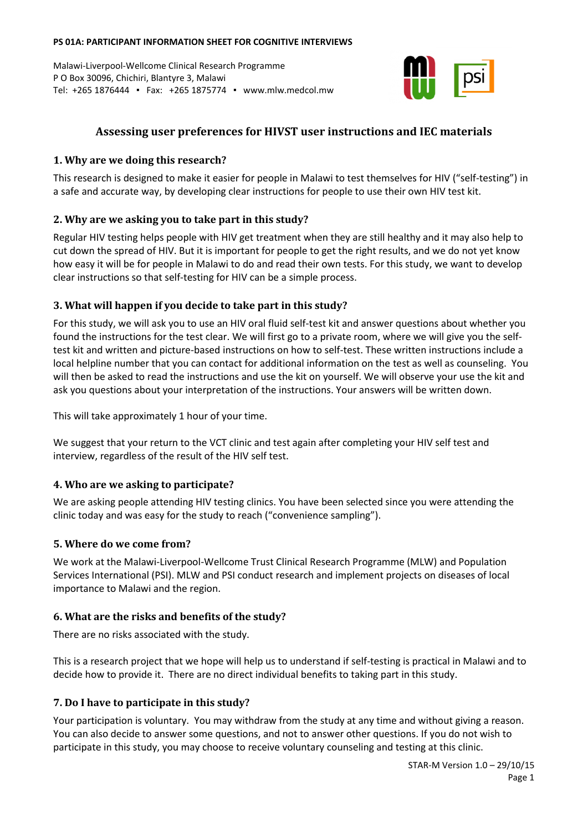#### **PS 01A: PARTICIPANT INFORMATION SHEET FOR COGNITIVE INTERVIEWS**

Malawi-Liverpool-Wellcome Clinical Research Programme P O Box 30096, Chichiri, Blantyre 3, Malawi Tel: +265 1876444 ▪ Fax: +265 1875774 ▪ www.mlw.medcol.mw



# **Assessing user preferences for HIVST user instructions and IEC materials**

#### **1. Why are we doing this research?**

This research is designed to make it easier for people in Malawi to test themselves for HIV ("self-testing") in a safe and accurate way, by developing clear instructions for people to use their own HIV test kit.

## **2. Why are we asking you to take part in this study?**

Regular HIV testing helps people with HIV get treatment when they are still healthy and it may also help to cut down the spread of HIV. But it is important for people to get the right results, and we do not yet know how easy it will be for people in Malawi to do and read their own tests. For this study, we want to develop clear instructions so that self-testing for HIV can be a simple process.

## **3. What will happen if you decide to take part in this study?**

For this study, we will ask you to use an HIV oral fluid self-test kit and answer questions about whether you found the instructions for the test clear. We will first go to a private room, where we will give you the selftest kit and written and picture-based instructions on how to self-test. These written instructions include a local helpline number that you can contact for additional information on the test as well as counseling. You will then be asked to read the instructions and use the kit on yourself. We will observe your use the kit and ask you questions about your interpretation of the instructions. Your answers will be written down.

This will take approximately 1 hour of your time.

We suggest that your return to the VCT clinic and test again after completing your HIV self test and interview, regardless of the result of the HIV self test.

## **4. Who are we asking to participate?**

We are asking people attending HIV testing clinics. You have been selected since you were attending the clinic today and was easy for the study to reach ("convenience sampling").

#### **5. Where do we come from?**

We work at the Malawi-Liverpool-Wellcome Trust Clinical Research Programme (MLW) and Population Services International (PSI). MLW and PSI conduct research and implement projects on diseases of local importance to Malawi and the region.

## **6. What are the risks and benefits of the study?**

There are no risks associated with the study.

This is a research project that we hope will help us to understand if self-testing is practical in Malawi and to decide how to provide it. There are no direct individual benefits to taking part in this study.

## **7. Do I have to participate in this study?**

Your participation is voluntary. You may withdraw from the study at any time and without giving a reason. You can also decide to answer some questions, and not to answer other questions. If you do not wish to participate in this study, you may choose to receive voluntary counseling and testing at this clinic.